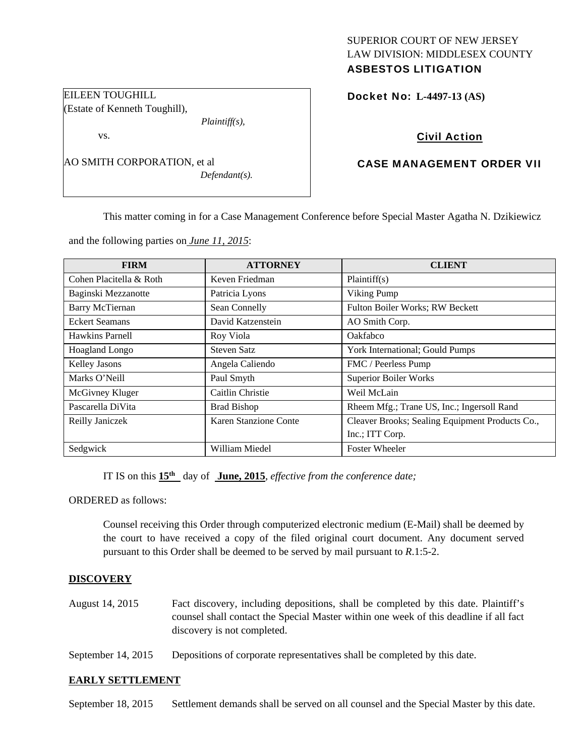# SUPERIOR COURT OF NEW JERSEY LAW DIVISION: MIDDLESEX COUNTY ASBESTOS LITIGATION

Docket No: **L-4497-13 (AS)** 

# Civil Action

# CASE MANAGEMENT ORDER VII

This matter coming in for a Case Management Conference before Special Master Agatha N. Dzikiewicz

and the following parties on *June 11, 2015*:

*Defendant(s).* 

| <b>FIRM</b>             | <b>ATTORNEY</b>       | <b>CLIENT</b>                                   |
|-------------------------|-----------------------|-------------------------------------------------|
| Cohen Placitella & Roth | Keven Friedman        | Plaintiff(s)                                    |
| Baginski Mezzanotte     | Patricia Lyons        | Viking Pump                                     |
| <b>Barry McTiernan</b>  | Sean Connelly         | Fulton Boiler Works; RW Beckett                 |
| <b>Eckert Seamans</b>   | David Katzenstein     | AO Smith Corp.                                  |
| Hawkins Parnell         | Roy Viola             | Oakfabco                                        |
| Hoagland Longo          | <b>Steven Satz</b>    | York International; Gould Pumps                 |
| Kelley Jasons           | Angela Caliendo       | FMC / Peerless Pump                             |
| Marks O'Neill           | Paul Smyth            | <b>Superior Boiler Works</b>                    |
| McGivney Kluger         | Caitlin Christie      | Weil McLain                                     |
| Pascarella DiVita       | <b>Brad Bishop</b>    | Rheem Mfg.; Trane US, Inc.; Ingersoll Rand      |
| Reilly Janiczek         | Karen Stanzione Conte | Cleaver Brooks; Sealing Equipment Products Co., |
|                         |                       | Inc.; ITT Corp.                                 |
| Sedgwick                | William Miedel        | <b>Foster Wheeler</b>                           |

IT IS on this **15th** day of **June, 2015**, *effective from the conference date;*

ORDERED as follows:

Counsel receiving this Order through computerized electronic medium (E-Mail) shall be deemed by the court to have received a copy of the filed original court document. Any document served pursuant to this Order shall be deemed to be served by mail pursuant to *R*.1:5-2.

### **DISCOVERY**

- August 14, 2015 Fact discovery, including depositions, shall be completed by this date. Plaintiff's counsel shall contact the Special Master within one week of this deadline if all fact discovery is not completed.
- September 14, 2015 Depositions of corporate representatives shall be completed by this date.

### **EARLY SETTLEMENT**

September 18, 2015 Settlement demands shall be served on all counsel and the Special Master by this date.

| EILEEN TOUGHILL               |                  |
|-------------------------------|------------------|
| (Estate of Kenneth Toughill), |                  |
|                               | $Plaintiff(s)$ , |
| VS.                           |                  |

AO SMITH CORPORATION, et al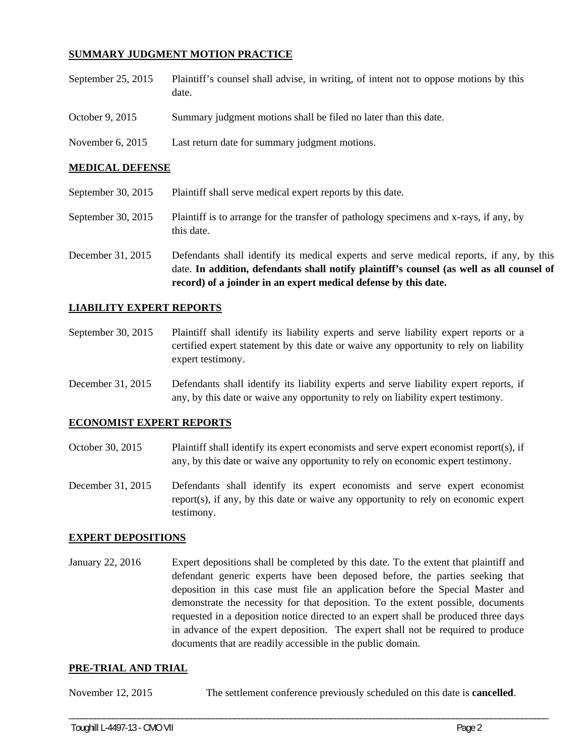## **SUMMARY JUDGMENT MOTION PRACTICE**

| September 25, 2015 | Plaintiff's counsel shall advise, in writing, of intent not to oppose motions by this |
|--------------------|---------------------------------------------------------------------------------------|
|                    | date.                                                                                 |

- October 9, 2015 Summary judgment motions shall be filed no later than this date.
- November 6, 2015 Last return date for summary judgment motions.

### **MEDICAL DEFENSE**

- September 30, 2015 Plaintiff shall serve medical expert reports by this date.
- September 30, 2015 Plaintiff is to arrange for the transfer of pathology specimens and x-rays, if any, by this date.
- December 31, 2015 Defendants shall identify its medical experts and serve medical reports, if any, by this date. **In addition, defendants shall notify plaintiff's counsel (as well as all counsel of record) of a joinder in an expert medical defense by this date.**

### **LIABILITY EXPERT REPORTS**

- September 30, 2015 Plaintiff shall identify its liability experts and serve liability expert reports or a certified expert statement by this date or waive any opportunity to rely on liability expert testimony.
- December 31, 2015 Defendants shall identify its liability experts and serve liability expert reports, if any, by this date or waive any opportunity to rely on liability expert testimony.

### **ECONOMIST EXPERT REPORTS**

- October 30, 2015 Plaintiff shall identify its expert economists and serve expert economist report(s), if any, by this date or waive any opportunity to rely on economic expert testimony.
- December 31, 2015 Defendants shall identify its expert economists and serve expert economist report(s), if any, by this date or waive any opportunity to rely on economic expert testimony.

### **EXPERT DEPOSITIONS**

January 22, 2016 Expert depositions shall be completed by this date. To the extent that plaintiff and defendant generic experts have been deposed before, the parties seeking that deposition in this case must file an application before the Special Master and demonstrate the necessity for that deposition. To the extent possible, documents requested in a deposition notice directed to an expert shall be produced three days in advance of the expert deposition. The expert shall not be required to produce documents that are readily accessible in the public domain.

#### **PRE-TRIAL AND TRIAL**

November 12, 2015 The settlement conference previously scheduled on this date is **cancelled**.

\_\_\_\_\_\_\_\_\_\_\_\_\_\_\_\_\_\_\_\_\_\_\_\_\_\_\_\_\_\_\_\_\_\_\_\_\_\_\_\_\_\_\_\_\_\_\_\_\_\_\_\_\_\_\_\_\_\_\_\_\_\_\_\_\_\_\_\_\_\_\_\_\_\_\_\_\_\_\_\_\_\_\_\_\_\_\_\_\_\_\_\_\_\_\_\_\_\_\_\_\_\_\_\_\_\_\_\_\_\_